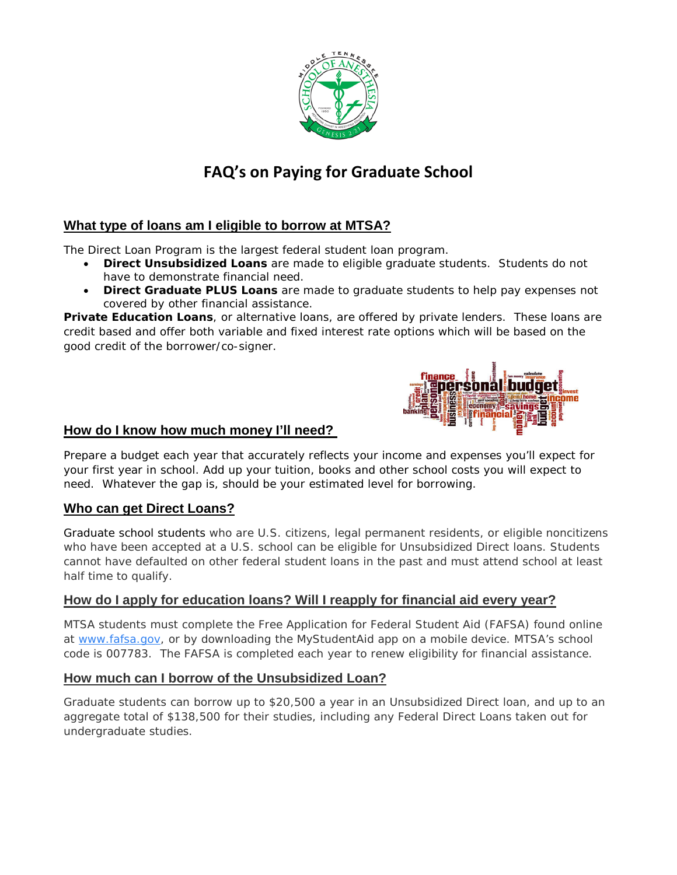

# **FAQ's on Paying for Graduate School**

## **What type of loans am I eligible to borrow at MTSA?**

The Direct Loan Program is the largest federal student loan program.

- **Direct Unsubsidized Loans** are made to eligible graduate students. Students do not have to demonstrate financial need.
- **Direct Graduate PLUS Loans** are made to graduate students to help pay expenses not covered by other financial assistance.

**Private Education Loans**, or alternative loans, are offered by private lenders. These loans are credit based and offer both variable and fixed interest rate options which will be based on the good credit of the borrower/co-signer.



#### **How do I know how much money I'll need?**

Prepare a budget each year that accurately reflects your income and expenses you'll expect for your first year in school. Add up your tuition, books and other school costs you will expect to need. Whatever the gap is, should be your estimated level for borrowing.

### **Who can get Direct Loans?**

[Graduate school](https://www.usnews.com/best-graduate-schools) students who are U.S. citizens, legal permanent residents, or eligible noncitizens who have been accepted at a U.S. school can be eligible for Unsubsidized Direct loans. Students cannot have defaulted on other federal student loans in the past and must attend school at least half time to qualify.

## **How do I apply for education loans? Will I reapply for financial aid every year?**

MTSA students must complete the Free Application for Federal Student Aid (FAFSA) found online at [www.fafsa.gov,](http://www.fafsa.gov/) or by downloading the MyStudentAid app on a mobile device. MTSA's school code is 007783. The FAFSA is completed each year to renew eligibility for financial assistance.

## **How much can I borrow of the Unsubsidized Loan?**

Graduate students can borrow up to \$20,500 a year in an Unsubsidized Direct loan, and up to an aggregate total of \$138,500 for their studies, including any Federal Direct Loans taken out for undergraduate studies.